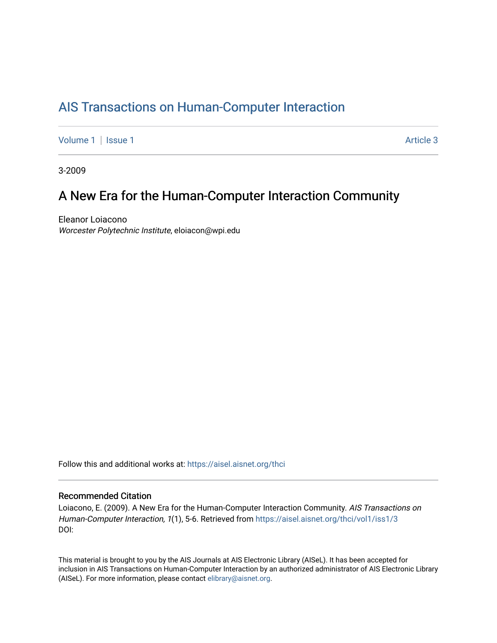## [AIS Transactions on Human-Computer Interaction](https://aisel.aisnet.org/thci)

[Volume 1](https://aisel.aisnet.org/thci/vol1) | [Issue 1](https://aisel.aisnet.org/thci/vol1/iss1) Article 3

3-2009

## A New Era for the Human-Computer Interaction Community

Eleanor Loiacono Worcester Polytechnic Institute, eloiacon@wpi.edu

Follow this and additional works at: [https://aisel.aisnet.org/thci](https://aisel.aisnet.org/thci?utm_source=aisel.aisnet.org%2Fthci%2Fvol1%2Fiss1%2F3&utm_medium=PDF&utm_campaign=PDFCoverPages) 

## Recommended Citation

Loiacono, E. (2009). A New Era for the Human-Computer Interaction Community. AIS Transactions on Human-Computer Interaction, 1(1), 5-6. Retrieved from [https://aisel.aisnet.org/thci/vol1/iss1/3](https://aisel.aisnet.org/thci/vol1/iss1/3?utm_source=aisel.aisnet.org%2Fthci%2Fvol1%2Fiss1%2F3&utm_medium=PDF&utm_campaign=PDFCoverPages) DOI:

This material is brought to you by the AIS Journals at AIS Electronic Library (AISeL). It has been accepted for inclusion in AIS Transactions on Human-Computer Interaction by an authorized administrator of AIS Electronic Library (AISeL). For more information, please contact [elibrary@aisnet.org](mailto:elibrary@aisnet.org%3E).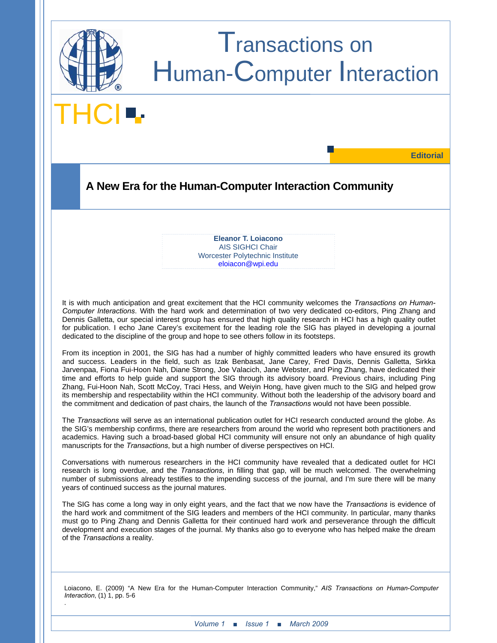

# Transactions on Human-Computer Interaction

**THCI** 

**Editorial** 

## **A New Era for the Human-Computer Interaction Community**

**Eleanor T. Loiacono** AIS SIGHCI Chair Worcester Polytechnic Institute eloiacon@wpi.edu

It is with much anticipation and great excitement that the HCI community welcomes the *Transactions on Human-Computer Interactions*. With the hard work and determination of two very dedicated co-editors, Ping Zhang and Dennis Galletta, our special interest group has ensured that high quality research in HCI has a high quality outlet for publication. I echo Jane Carey's excitement for the leading role the SIG has played in developing a journal dedicated to the discipline of the group and hope to see others follow in its footsteps.

From its inception in 2001, the SIG has had a number of highly committed leaders who have ensured its growth and success. Leaders in the field, such as Izak Benbasat, Jane Carey, Fred Davis, Dennis Galletta, Sirkka Jarvenpaa, Fiona Fui-Hoon Nah, Diane Strong, Joe Valacich, Jane Webster, and Ping Zhang, have dedicated their time and efforts to help guide and support the SIG through its advisory board. Previous chairs, including Ping Zhang, Fui-Hoon Nah, Scott McCoy, Traci Hess, and Weiyin Hong, have given much to the SIG and helped grow its membership and respectability within the HCI community. Without both the leadership of the advisory board and the commitment and dedication of past chairs, the launch of the *Transactions* would not have been possible.

The *Transactions* will serve as an international publication outlet for HCI research conducted around the globe. As the SIG's membership confirms, there are researchers from around the world who represent both practitioners and academics. Having such a broad-based global HCI community will ensure not only an abundance of high quality manuscripts for the *Transactions*, but a high number of diverse perspectives on HCI.

Conversations with numerous researchers in the HCI community have revealed that a dedicated outlet for HCI research is long overdue, and the *Transactions*, in filling that gap, will be much welcomed. The overwhelming number of submissions already testifies to the impending success of the journal, and I'm sure there will be many years of continued success as the journal matures.

The SIG has come a long way in only eight years, and the fact that we now have the *Transactions* is evidence of the hard work and commitment of the SIG leaders and members of the HCI community. In particular, many thanks must go to Ping Zhang and Dennis Galletta for their continued hard work and perseverance through the difficult development and execution stages of the journal. My thanks also go to everyone who has helped make the dream of the *Transactions* a reality.

Loiacono, E. (2009) "A New Era for the Human-Computer Interaction Community," *AIS Transactions on Human-Computer Interaction*, (1) 1, pp. 5-6 .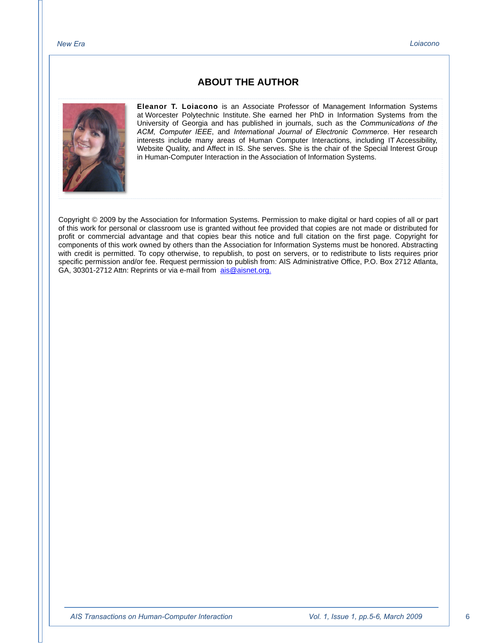## **ABOUT THE AUTHOR**



**Eleanor T. Loiacono** is an Associate Professor of Management Information Systems at Worcester Polytechnic Institute. She earned her PhD in Information Systems from the University of Georgia and has published in journals, such as the *Communications of the ACM*, *Computer IEEE*, and *International Journal of Electronic Commerce*. Her research interests include many areas of Human Computer Interactions, including IT Accessibility, Website Quality, and Affect in IS. She serves. She is the chair of the Special Interest Group in Human-Computer Interaction in the Association of Information Systems.

Copyright © 2009 by the Association for Information Systems. Permission to make digital or hard copies of all or part of this work for personal or classroom use is granted without fee provided that copies are not made or distributed for profit or commercial advantage and that copies bear this notice and full citation on the first page. Copyright for components of this work owned by others than the Association for Information Systems must be honored. Abstracting with credit is permitted. To copy otherwise, to republish, to post on servers, or to redistribute to lists requires prior specific permission and/or fee. Request permission to publish from: AIS Administrative Office, P.O. Box 2712 Atlanta, GA, 30301-2712 Attn: Reprints or via e-mail from ais@aisnet.org.